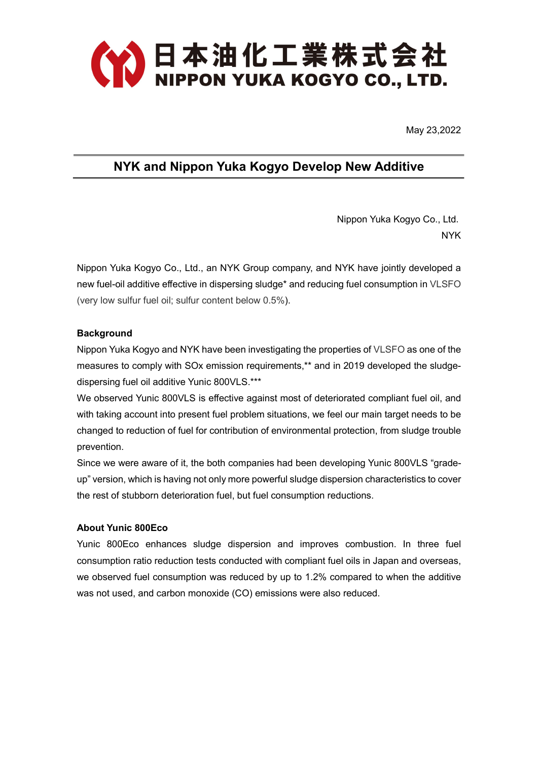

May 23,2022

## NYK and Nippon Yuka Kogyo Develop New Additive

 Nippon Yuka Kogyo Co., Ltd. NYK

Nippon Yuka Kogyo Co., Ltd., an NYK Group company, and NYK have jointly developed a new fuel-oil additive effective in dispersing sludge\* and reducing fuel consumption in VLSFO (very low sulfur fuel oil; sulfur content below 0.5%).

## **Background**

Nippon Yuka Kogyo and NYK have been investigating the properties of VLSFO as one of the measures to comply with SOx emission requirements,\*\* and in 2019 developed the sludgedispersing fuel oil additive Yunic 800VLS.\*\*\*

We observed Yunic 800VLS is effective against most of deteriorated compliant fuel oil, and with taking account into present fuel problem situations, we feel our main target needs to be changed to reduction of fuel for contribution of environmental protection, from sludge trouble prevention.

Since we were aware of it, the both companies had been developing Yunic 800VLS "gradeup" version, which is having not only more powerful sludge dispersion characteristics to cover the rest of stubborn deterioration fuel, but fuel consumption reductions.

## About Yunic 800Eco

Yunic 800Eco enhances sludge dispersion and improves combustion. In three fuel consumption ratio reduction tests conducted with compliant fuel oils in Japan and overseas, we observed fuel consumption was reduced by up to 1.2% compared to when the additive was not used, and carbon monoxide (CO) emissions were also reduced.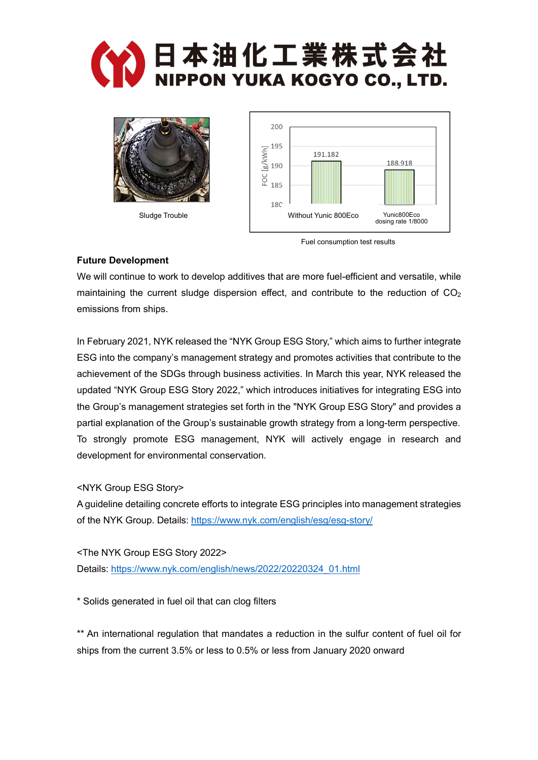



Sludge Trouble



Fuel consumption test results

## Future Development

We will continue to work to develop additives that are more fuel-efficient and versatile, while maintaining the current sludge dispersion effect, and contribute to the reduction of  $CO<sub>2</sub>$ emissions from ships.

In February 2021, NYK released the "NYK Group ESG Story," which aims to further integrate ESG into the company's management strategy and promotes activities that contribute to the achievement of the SDGs through business activities. In March this year, NYK released the updated "NYK Group ESG Story 2022," which introduces initiatives for integrating ESG into the Group's management strategies set forth in the "NYK Group ESG Story" and provides a partial explanation of the Group's sustainable growth strategy from a long-term perspective. To strongly promote ESG management, NYK will actively engage in research and development for environmental conservation.

<NYK Group ESG Story>

A guideline detailing concrete efforts to integrate ESG principles into management strategies of the NYK Group. Details: https://www.nyk.com/english/esg/esg-story/

<The NYK Group ESG Story 2022> Details: https://www.nyk.com/english/news/2022/20220324\_01.html

\* Solids generated in fuel oil that can clog filters

\*\* An international regulation that mandates a reduction in the sulfur content of fuel oil for ships from the current 3.5% or less to 0.5% or less from January 2020 onward